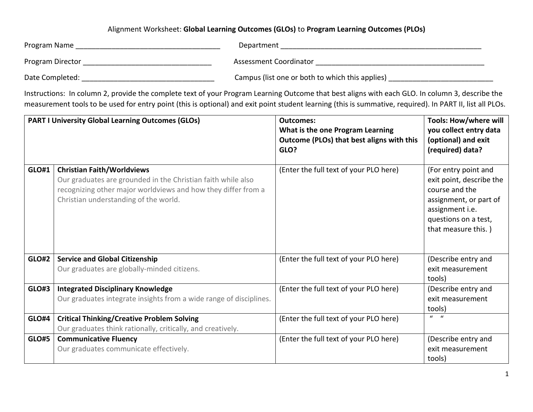## Alignment Worksheet: **Global Learning Outcomes (GLOs)** to **Program Learning Outcomes (PLOs)**

| Program Name     | Department                                      |
|------------------|-------------------------------------------------|
| Program Director | Assessment Coordinator                          |
| Date Completed:  | Campus (list one or both to which this applies) |

Instructions: In column 2, provide the complete text of your Program Learning Outcome that best aligns with each GLO. In column 3, describe the measurement tools to be used for entry point (this is optional) and exit point student learning (this is summative, required). In PART II, list all PLOs.

|              | <b>PART I University Global Learning Outcomes (GLOs)</b>                                                                                                                                                    | <b>Outcomes:</b><br>What is the one Program Learning<br>Outcome (PLOs) that best aligns with this<br>GLO? | <b>Tools: How/where will</b><br>you collect entry data<br>(optional) and exit<br>(required) data?                                                              |
|--------------|-------------------------------------------------------------------------------------------------------------------------------------------------------------------------------------------------------------|-----------------------------------------------------------------------------------------------------------|----------------------------------------------------------------------------------------------------------------------------------------------------------------|
| <b>GLO#1</b> | <b>Christian Faith/Worldviews</b><br>Our graduates are grounded in the Christian faith while also<br>recognizing other major worldviews and how they differ from a<br>Christian understanding of the world. | (Enter the full text of your PLO here)                                                                    | (For entry point and<br>exit point, describe the<br>course and the<br>assignment, or part of<br>assignment i.e.<br>questions on a test,<br>that measure this.) |
| <b>GLO#2</b> | <b>Service and Global Citizenship</b><br>Our graduates are globally-minded citizens.                                                                                                                        | (Enter the full text of your PLO here)                                                                    | (Describe entry and<br>exit measurement<br>tools)                                                                                                              |
| <b>GLO#3</b> | <b>Integrated Disciplinary Knowledge</b><br>Our graduates integrate insights from a wide range of disciplines.                                                                                              | (Enter the full text of your PLO here)                                                                    | (Describe entry and<br>exit measurement<br>tools)                                                                                                              |
| <b>GLO#4</b> | <b>Critical Thinking/Creative Problem Solving</b><br>Our graduates think rationally, critically, and creatively.                                                                                            | (Enter the full text of your PLO here)                                                                    | $\mathbf{u}$ $\mathbf{u}$                                                                                                                                      |
| <b>GLO#5</b> | <b>Communicative Fluency</b><br>Our graduates communicate effectively.                                                                                                                                      | (Enter the full text of your PLO here)                                                                    | (Describe entry and<br>exit measurement<br>tools)                                                                                                              |